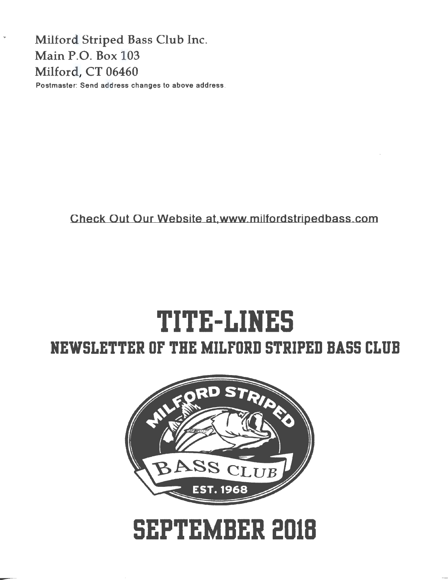Milford Striped Bass Club Inc. Main P.O. Box 103 Milford, CT 06460

Postmaster: Send address changes to above address

### Check Out Our Website at,www milfordstripedbass com

## **TITE-LIRES NEWSLETTER OF THE MILFORD STRIPED BASS CLUB**



# **SEPTEMBER 2018**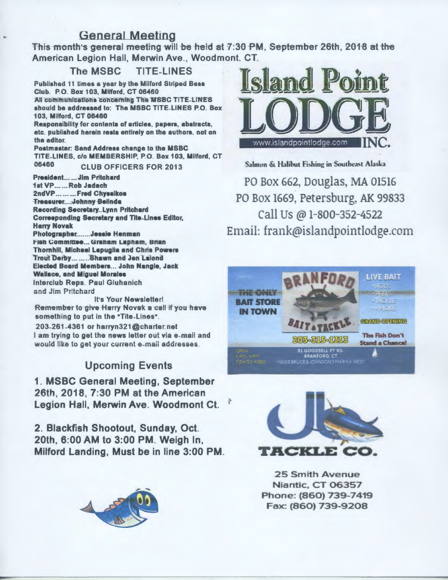#### General Meeting

This month's general meeting will be held at 7:30 PM, September 26th, 2018 at the American Legion Hall, Merwin Ave., Woodmont. CT.

#### The MSBC TITE-LINES

Published 11 times a year by the Milford Striped Baas Club. P.O. Box 103, Milford, CT 06460 All communications concerning The MSBC TITE-LINES should be addressed to: The MSBC TITE-LINES P.O. Box 103, Milford, CT 06460

Responsibility for contents of articles, papers, abstracts, etc. published herein rests entirely on the authors. not on the editor.

Postmaster: Send Address change to the MSBC TITE-LINES, c/o MEMBERSHIP, P.O. Box 103, Milford, CT 06460 CLUB OFFICERS FOR 2013

President...... Jim Pritchard 1st VP ...... Rob Jadach 2ndVP......... Fred Chyssikos Freasurer....Johnny-Belinda Recording Secretary..Lynn Pritchard Corresponding Secretary and Tite-Lines Editor, Harry Novak Photographer.......Jessie Henman **Fish Committee... Graham Lapham, Brian** Thornhill, Michael Lapuglia and Chris Powers Trout Derby ........ Shawn and Jen Lalond Elected Board Members ... John Nangle, Jack Wallace, and Miguel Morales lnterclub Reps. Paul Gluhanich and Jim Pritchard

It's Your Newsletter! Remember to give Harry Novak a call if you have something to put in the "Tite-Lines".

203-261-4361 or harryn321@charter.net I am trying to get the news letter out via e-mail and would like to get your current e-mail addresses.

### Upcoming Events

1. MSBC General Meeting, September 26th, 2018, 7:30 PM at the American Legion Hall, Merwin Ave. Woodmont Ct.

2. Blackfish Shootout. Sunday, Oct. 20th, 6:00AM to 3:00 PM. Weigh In, Milford Landing. Must be in line 3:00 PM. **TACKLE CO.** 





Salmon & Halibut Fishing in Southeast Alaska PO Box 662, Douglas, MA 01516 PO Box 1669, Petersburg, AK 99833 Call Us @ I-800-352-4522 Email: frank@islandpointlodge.com





25 Smith Avenue Niantic. CT 06357 Phone: (860) 739-7419 Fax: (860) 739-9208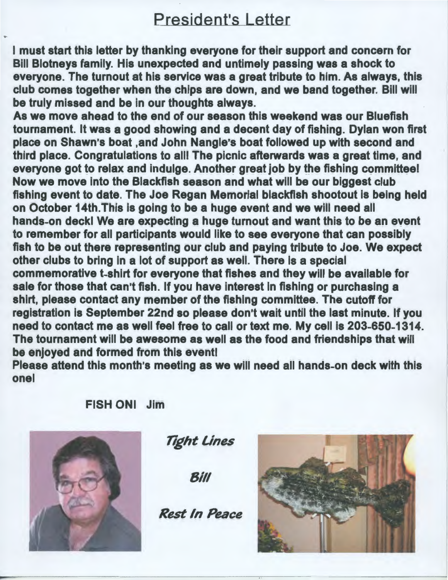### President's Letter

I must start this letter by thanking everyone for their support and concern for Bill Blotneys family. His unexpected and untimely passing was a shock to everyone. The turnout at his service was a great tribute to him. As always, this club comes together when the chips are down, and we band together. Bill will be truly missed and be in our thoughts always.

As we move ahead to the end of our season this weekend was our Bluefish tournament. It was a good showing and a decent day of fishing. Dylan won first place on Shawn's boat ,and John Nangle's boat followed up with second and third place. Congratulations to alii The picnic afterwards was a great time, and everyone got to relax and indulge. Another great job by the fishing committeel Now we move into the Blackfish season and what will be our biggest club fishing event to date. The Joe Regan Memorial blackflsh shootout is being held on October 14th.This is going to be a huge event and we will need all hands-on deckl We are expecting a huge turnout and want this to be an event to remember for all participants would like to see everyone that can possibly fish to be out there representing our club and paying tribute to Joe. We expect other clubs to bring in a lot of support as well. There is a special commemorative t-shirt for everyone that fishes and they will be available for sale for those that can't fish. If you have interest in fishing or purchasing a shirt, please contact any member of the fishing committee. The cutoff for registration is September 22nd so please don't wait until the last minute. If you need to contact me as well feel free to call or text me. My cell is 203-650-1314. The tournament will be awesome as well as the food and friendships that will be enjoyed and formed from this eventl

Piease attend this month's meeting as we will need all hands-on deck with this onel

FISH ONI Jim



 $"$ 

*Tight lines* 

Bill

*Rest In Peace* 

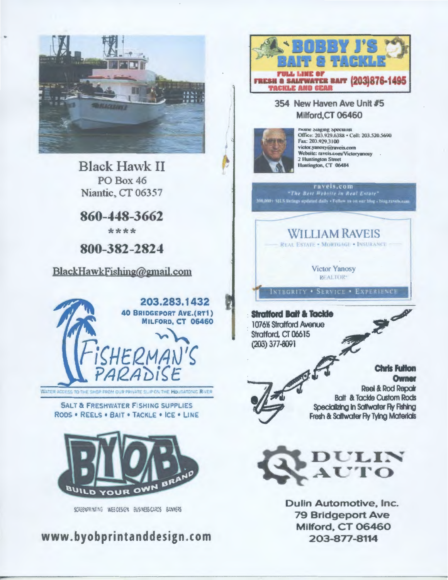

**Black Hawk II PO Box 46** Niantic, CT 06357

860-448-3662

\*\*\*\*

800-382-2824

BlackHawkFishing@gmail.com



WATER ACCESS TO THE SHOP FROM OUR PRIVATE SLIP ON THE MOJISATONIC RIVER

**SALT & FRESHWATER FISHING SUPPLIES** RODS . REELS . BAIT . TACKLE . ICE . LINE



KREARING WEICHEN RENESCUES BINER

www.byobprintanddesign.com



#### 354 New Haven Ave Unit #5 Milford.CT 06460



nome staging specialist<br>Office: 203.929.6388 · Cell: 203.520.5690 Fax: 203,929.3100 victor.yanosy@raveis.com Website: raveis.com/Victoryanosy 2 Huntington Street Huntington, CT 06484

# raveis.com<br>"The Best Website in Real Estate"<br>"Anno Mt Süstings applated daily - Follow us on our blag - blog raveis.

WILLIAM RAVEIS **REAL ESTATE - MORTGAGE - INSURANCE** 

**Victor Yanosy** 

**REALTOR\*** 

INTEGRITY . SERVICE . EXPERIENCE **Stratford Bait & Tackle** 1076% Stratford Avenue Stratford, CT 06615  $(203)$  377-8091





**Chris Fution** Owner **Reel & Rod Repair Bait & Tackle Custom Rods** Specializing in Sattwater Fly Fishing Fresh & Saltwater Fly Tying Materials



Dulin Automotive, Inc. **79 Bridgeport Ave** Milford, CT 06460 203-877-8114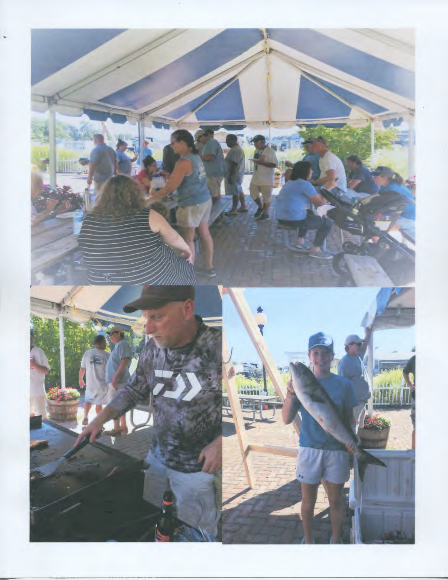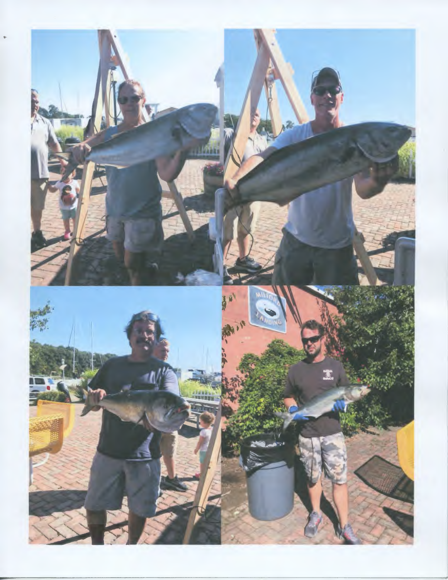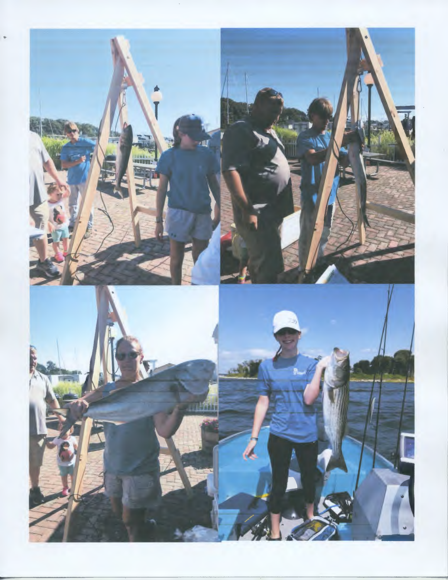